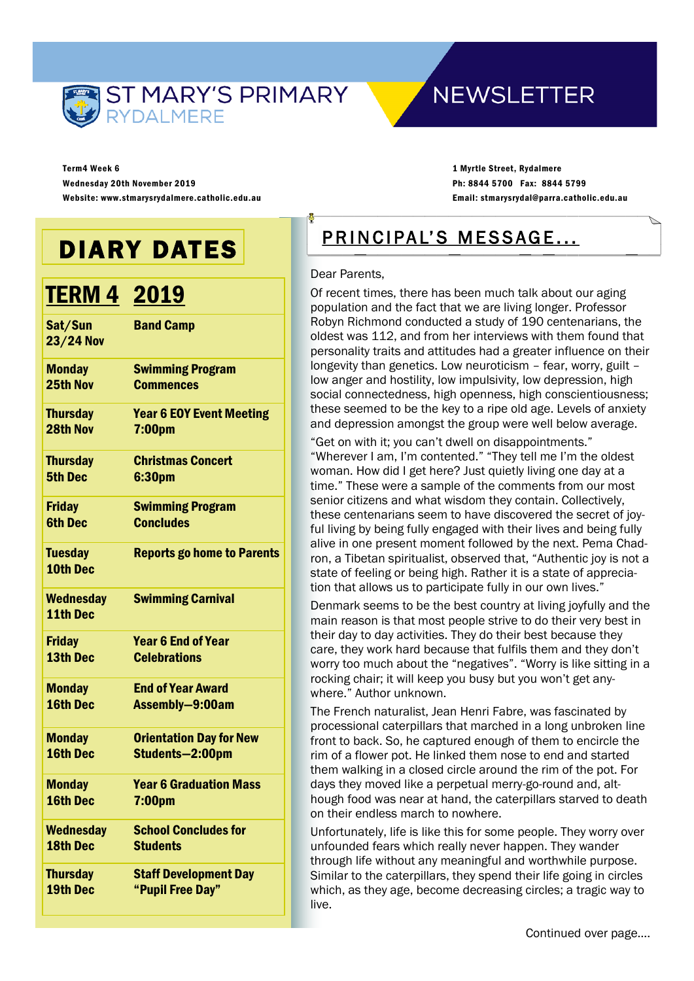

### **NEWSLETTER**

Term4 Week 6 Wednesday 20th November 2019 Website: www.stmarysrydalmere.catholic.edu.au

1 Myrtle Street, Rydalmere Ph: 8844 5700 Fax: 8844 5799 Email: stmarysrydal@parra.catholic.edu.au

## DIARY DATES

## TERM 4 2019

| Sat/Sun<br><b>23/24 Nov</b>  | <b>Band Camp</b>                  |
|------------------------------|-----------------------------------|
| <b>Monday</b>                | <b>Swimming Program</b>           |
| 25th Nov                     | <b>Commences</b>                  |
| <b>Thursday</b>              | <b>Year 6 EOY Event Meeting</b>   |
| 28th Nov                     | 7:00pm                            |
| <b>Thursday</b>              | <b>Christmas Concert</b>          |
| <b>5th Dec</b>               | 6:30pm                            |
| <b>Friday</b>                | <b>Swimming Program</b>           |
| <b>6th Dec</b>               | <b>Concludes</b>                  |
| <b>Tuesday</b><br>10th Dec   | <b>Reports go home to Parents</b> |
| <b>Wednesday</b><br>11th Dec | <b>Swimming Carnival</b>          |
| <b>Friday</b>                | <b>Year 6 End of Year</b>         |
| 13th Dec                     | <b>Celebrations</b>               |
| <b>Monday</b>                | <b>End of Year Award</b>          |
| 16th Dec                     | Assembly-9:00am                   |
| <b>Monday</b>                | <b>Orientation Day for New</b>    |
| 16th Dec                     | Students-2:00pm                   |
| <b>Monday</b>                | <b>Year 6 Graduation Mass</b>     |
| 16th Dec                     | 7:00 <sub>pm</sub>                |
| <b>Wednesday</b>             | <b>School Concludes for</b>       |
| 18th Dec                     | <b>Students</b>                   |
| <b>Thursday</b>              | <b>Staff Development Day</b>      |
| 19th Dec                     | "Pupil Free Day"                  |

### PRINCIPAL'S MESSAGE...

#### Dear Parents,

Of recent times, there has been much talk about our aging population and the fact that we are living longer. Professor Robyn Richmond conducted a study of 190 centenarians, the oldest was 112, and from her interviews with them found that personality traits and attitudes had a greater influence on their longevity than genetics. Low neuroticism – fear, worry, guilt – low anger and hostility, low impulsivity, low depression, high social connectedness, high openness, high conscientiousness; these seemed to be the key to a ripe old age. Levels of anxiety and depression amongst the group were well below average.

"Get on with it; you can't dwell on disappointments." "Wherever I am, I'm contented." "They tell me I'm the oldest woman. How did I get here? Just quietly living one day at a time." These were a sample of the comments from our most senior citizens and what wisdom they contain. Collectively, these centenarians seem to have discovered the secret of joyful living by being fully engaged with their lives and being fully alive in one present moment followed by the next. Pema Chadron, a Tibetan spiritualist, observed that, "Authentic joy is not a state of feeling or being high. Rather it is a state of appreciation that allows us to participate fully in our own lives."

Denmark seems to be the best country at living joyfully and the main reason is that most people strive to do their very best in their day to day activities. They do their best because they care, they work hard because that fulfils them and they don't worry too much about the "negatives". "Worry is like sitting in a rocking chair; it will keep you busy but you won't get anywhere." Author unknown.

The French naturalist, Jean Henri Fabre, was fascinated by processional caterpillars that marched in a long unbroken line front to back. So, he captured enough of them to encircle the rim of a flower pot. He linked them nose to end and started them walking in a closed circle around the rim of the pot. For days they moved like a perpetual merry-go-round and, although food was near at hand, the caterpillars starved to death on their endless march to nowhere.

Unfortunately, life is like this for some people. They worry over unfounded fears which really never happen. They wander through life without any meaningful and worthwhile purpose. Similar to the caterpillars, they spend their life going in circles which, as they age, become decreasing circles; a tragic way to live.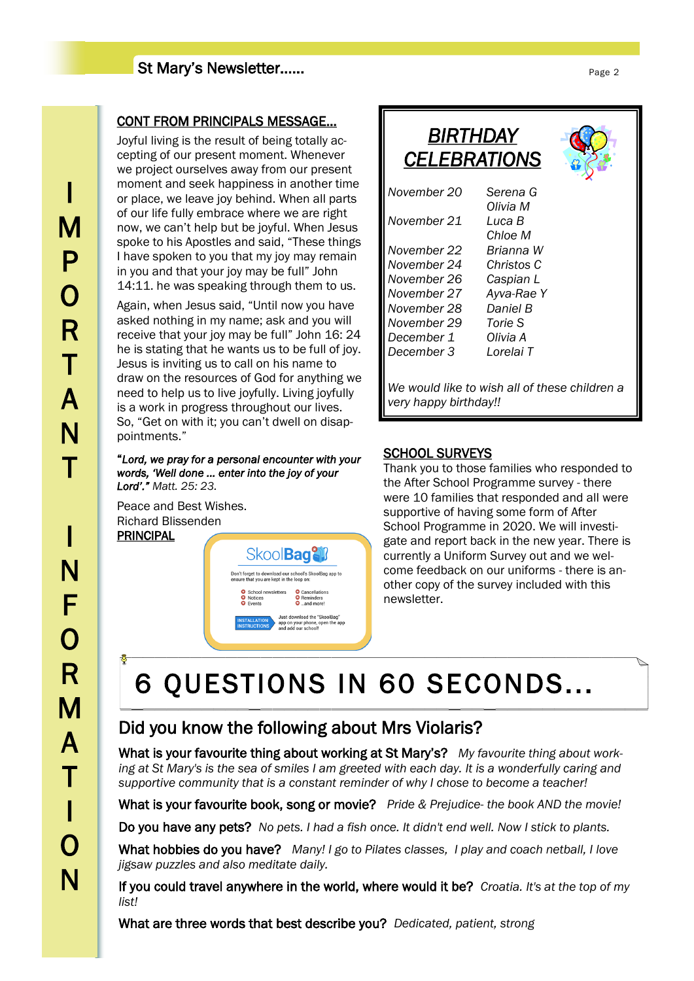### St Mary's Newsletter……

### CONT FROM PRINCIPALS MESSAGE...

Joyful living is the result of being totally accepting of our present moment. Whenever we project ourselves away from our present moment and seek happiness in another time or place, we leave joy behind. When all parts of our life fully embrace where we are right now, we can't help but be joyful. When Jesus spoke to his Apostles and said, "These things I have spoken to you that my joy may remain in you and that your joy may be full" John 14:11. he was speaking through them to us.

Again, when Jesus said, "Until now you have asked nothing in my name; ask and you will receive that your joy may be full" John 16: 24 he is stating that he wants us to be full of joy. Jesus is inviting us to call on his name to draw on the resources of God for anything we need to help us to live joyfully. Living joyfully is a work in progress throughout our lives. So, "Get on with it; you can't dwell on disappointments."

#### "*Lord, we pray for a personal encounter with your words, 'Well done ... enter into the joy of your Lord'." Matt. 25: 23.*

Peace and Best Wishes. Richard Blissenden PRINCIPAL



| BIRTHDAY<br><b>CELEBRATIONS</b>                                        |                    |
|------------------------------------------------------------------------|--------------------|
| November 20                                                            | Serena G           |
| November 21                                                            | Olivia M<br>Luca B |
|                                                                        | Chloe M            |
| November 22                                                            | Brianna W          |
| November 24                                                            | Christos C         |
| November 26                                                            | Caspian L          |
| November 27                                                            | Ayva-Rae Y         |
| November 28                                                            | Daniel B           |
| November 29                                                            | Torie S            |
| December 1                                                             | Olivia A           |
| December 3                                                             | Lorelai T          |
| We would like to wish all of these children a<br>very happy birthday!! |                    |

### SCHOOL SURVEYS

Thank you to those families who responded to the After School Programme survey - there were 10 families that responded and all were supportive of having some form of After School Programme in 2020. We will investigate and report back in the new year. There is currently a Uniform Survey out and we welcome feedback on our uniforms - there is another copy of the survey included with this newsletter.

# 6 QUESTIONS IN 60 SECONDS...

### Did you know the following about Mrs Violaris?

What is your favourite thing about working at St Mary's? *My favourite thing about work*ing at St Mary's is the sea of smiles I am greeted with each day. It is a wonderfully caring and *supportive community that is a constant reminder of why I chose to become a teacher!*

What is your favourite book, song or movie? *Pride & Prejudice- the book AND the movie!*

Do you have any pets? *No pets. I had a fish once. It didn't end well. Now I stick to plants.*

What hobbies do you have? *Many! I go to Pilates classes, I play and coach netball, I love jigsaw puzzles and also meditate daily.*

If you could travel anywhere in the world, where would it be? *Croatia. It's at the top of my list!* 

What are three words that best describe you? *Dedicated, patient, strong*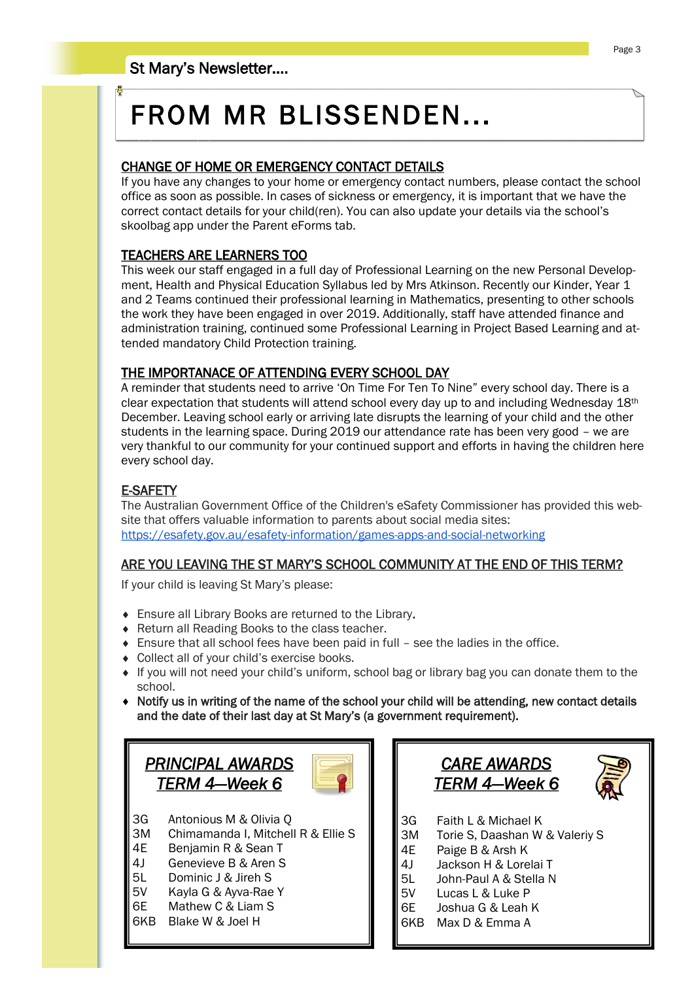# FROM MR BLISSENDEN...

### CHANGE OF HOME OR EMERGENCY CONTACT DETAILS

If you have any changes to your home or emergency contact numbers, please contact the school office as soon as possible. In cases of sickness or emergency, it is important that we have the correct contact details for your child(ren). You can also update your details via the school's skoolbag app under the Parent eForms tab.

### TEACHERS ARE LEARNERS TOO

This week our staff engaged in a full day of Professional Learning on the new Personal Development, Health and Physical Education Syllabus led by Mrs Atkinson. Recently our Kinder, Year 1 and 2 Teams continued their professional learning in Mathematics, presenting to other schools the work they have been engaged in over 2019. Additionally, staff have attended finance and administration training, continued some Professional Learning in Project Based Learning and attended mandatory Child Protection training.

### THE IMPORTANACE OF ATTENDING EVERY SCHOOL DAY

A reminder that students need to arrive 'On Time For Ten To Nine" every school day. There is a clear expectation that students will attend school every day up to and including Wednesday 18th December. Leaving school early or arriving late disrupts the learning of your child and the other students in the learning space. During 2019 our attendance rate has been very good – we are very thankful to our community for your continued support and efforts in having the children here every school day.

### E-SAFETY

The Australian Government Office of the Children's eSafety Commissioner has provided this website that offers valuable information to parents about social media sites: <https://esafety.gov.au/esafety-information/games-apps-and-social-networking>

### ARE YOU LEAVING THE ST MARY'S SCHOOL COMMUNITY AT THE END OF THIS TERM?

If your child is leaving St Mary's please:

- Ensure all Library Books are returned to the Library.
- Return all Reading Books to the class teacher.
- Ensure that all school fees have been paid in full see the ladies in the office.
- Collect all of your child's exercise books.
- If you will not need your child's uniform, school bag or library bag you can donate them to the school.
- Notify us in writing of the name of the school your child will be attending, new contact details and the date of their last day at St Mary's (a government requirement).



- 5L Dominic J & Jireh S
- 5V Kayla G & Ayva-Rae Y
- 6E Mathew C & Liam S
- 6KB Blake W & Joel H



- 
- 4J Jackson H & Lorelai T
- 5L John-Paul A & Stella N
- 5V Lucas L & Luke P
- 6E Joshua G & Leah K
- 6KB Max D & Emma A